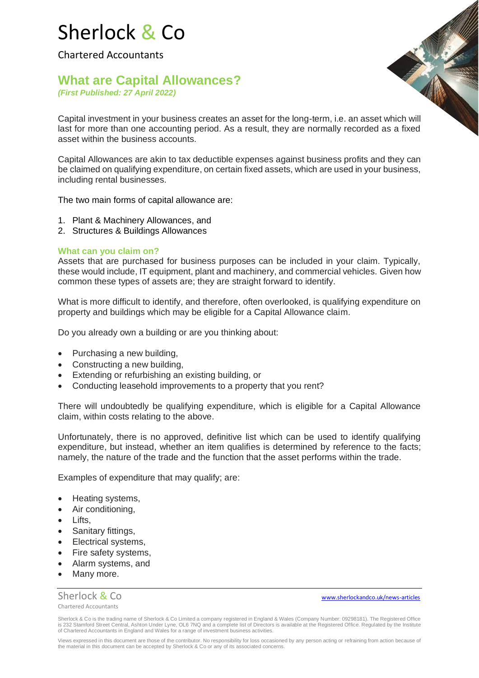# Sherlock & Co

Chartered Accountants

## **What are Capital Allowances?** *(First Published: 27 April 2022)*

Capital investment in your business creates an asset for the long-term, i.e. an asset which will last for more than one accounting period. As a result, they are normally recorded as a fixed asset within the business accounts.

Capital Allowances are akin to tax deductible expenses against business profits and they can be claimed on qualifying expenditure, on certain fixed assets, which are used in your business, including rental businesses.

The two main forms of capital allowance are:

- 1. Plant & Machinery Allowances, and
- 2. Structures & Buildings Allowances

### **What can you claim on?**

Assets that are purchased for business purposes can be included in your claim. Typically, these would include, IT equipment, plant and machinery, and commercial vehicles. Given how common these types of assets are; they are straight forward to identify.

What is more difficult to identify, and therefore, often overlooked, is qualifying expenditure on property and buildings which may be eligible for a Capital Allowance claim.

Do you already own a building or are you thinking about:

- Purchasing a new building,
- Constructing a new building,
- Extending or refurbishing an existing building, or
- Conducting leasehold improvements to a property that you rent?

There will undoubtedly be qualifying expenditure, which is eligible for a Capital Allowance claim, within costs relating to the above.

Unfortunately, there is no approved, definitive list which can be used to identify qualifying expenditure, but instead, whether an item qualifies is determined by reference to the facts; namely, the nature of the trade and the function that the asset performs within the trade.

Examples of expenditure that may qualify; are:

- Heating systems,
- Air conditioning,
- Lifts,
- Sanitary fittings,
- Electrical systems,
- Fire safety systems,
- Alarm systems, and
- Many more.

Chartered Accountants

Sherlock & Co[www.sherlockandco.uk/news-articles](http://www.sherlockandco.uk/news-articles)

Sherlock & Co is the trading name of Sherlock & Co Limited a company registered in England & Wales (Company Number: 09298181). The Registered Office is 232 Stamford Street Central, Ashton Under Lyne, OL6 7NQ and a complete list of Directors is available at the Registered Office. Regulated by the Institute<br>of Chartered Accountants in England and Wales for a range of inv

Views expressed in this document are those of the contributor. No responsibility for loss occasioned by any person acting or refraining from action because of the material in this document can be accepted by Sherlock & Co or any of its associated concerns.